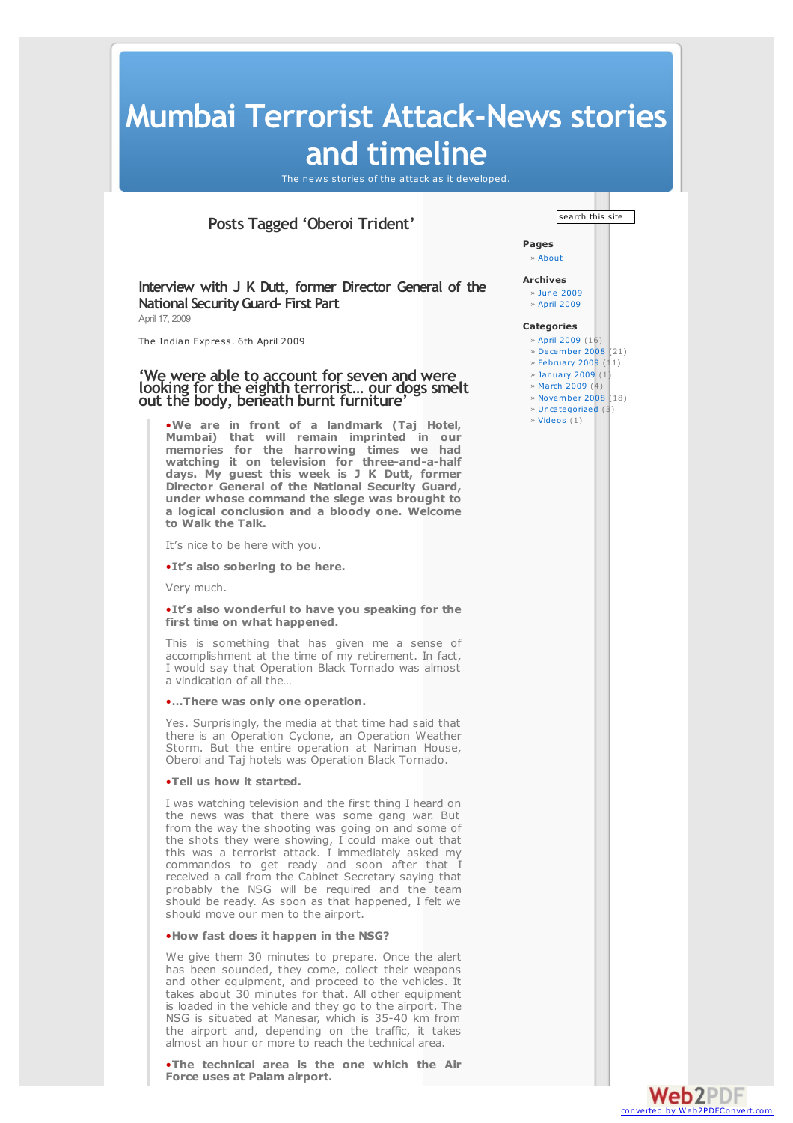# **Mumbai Terrorist Attack-News stories and timeline**

The news stories of the attack as it developed.

## **Posts Tagged 'Oberoi Trident'**

**Interview with J K Dutt, former Director General of the National SecurityGuard- First Part** April 17, 2009

The Indian Express. 6th April 2009

### **'We were able to account for seven and were looking for the eighth terrorist… our dogs smelt out the body, beneath burnt furniture'**

•**We are in front of <sup>a</sup> landmark (Taj Hotel, Mumbai) that will remain imprinted in our memories for the harrowing times we had watching it on television for three-and-a-half days. My guest this week is J K Dutt, former Director General of the National Security Guard, under whose command the siege was brought to a logical conclusion and a bloody one. Welcome to Walk the Talk.**

It's nice to be here with you.

•**It's also sobering to be here.**

Very much.

#### •**It's also wonderful to have you speaking for the first time on what happened.**

This is something that has given me a sense of accomplishment at the time of my retirement. In fact, I would say that Operation Black Tornado was almost a vindication of all the…

#### •**…There was only one operation.**

Yes. Surprisingly, the media at that time had said that there is an Operation Cyclone, an Operation Weather Storm. But the entire operation at Nariman House, Oberoi and Taj hotels was Operation Black Tornado.

#### •**Tell us how it started.**

I was watching television and the first thing I heard on the news was that there was some gang war. But from the way the shooting was going on and some of the shots they were showing, I could make out that this was a terrorist attack. I immediately asked my commandos to get ready and soon after that I received a call from the Cabinet Secretary saying that probably the NSG will be required and the team should be ready. As soon as that happened, I felt we should move our men to the airport.

#### •**How fast does it happen in the NSG?**

We give them 30 minutes to prepare. Once the alert has been sounded, they come, collect their weapons and other equipment, and proceed to the vehicles. It takes about 30 minutes for that. All other equipment is loaded in the vehicle and they go to the airport. The NSG is situated at Manesar, which is 35-40 km from the airport and, depending on the traffic, it takes almost an hour or more to reach the technical area.

•**The technical area is the one which the Air Force uses at Palam airport.**



**Pages** » About

**Archives** » June 2009

» April 2009

#### **Categories**

- » April 2009 (16) » December 2008 (21)
- » February 2009  $(11)$
- » January 2009 (1)
- » March 2009 (4)
- » November 2008 (18)
- » Uncategorized (3)
- » Videos (1)

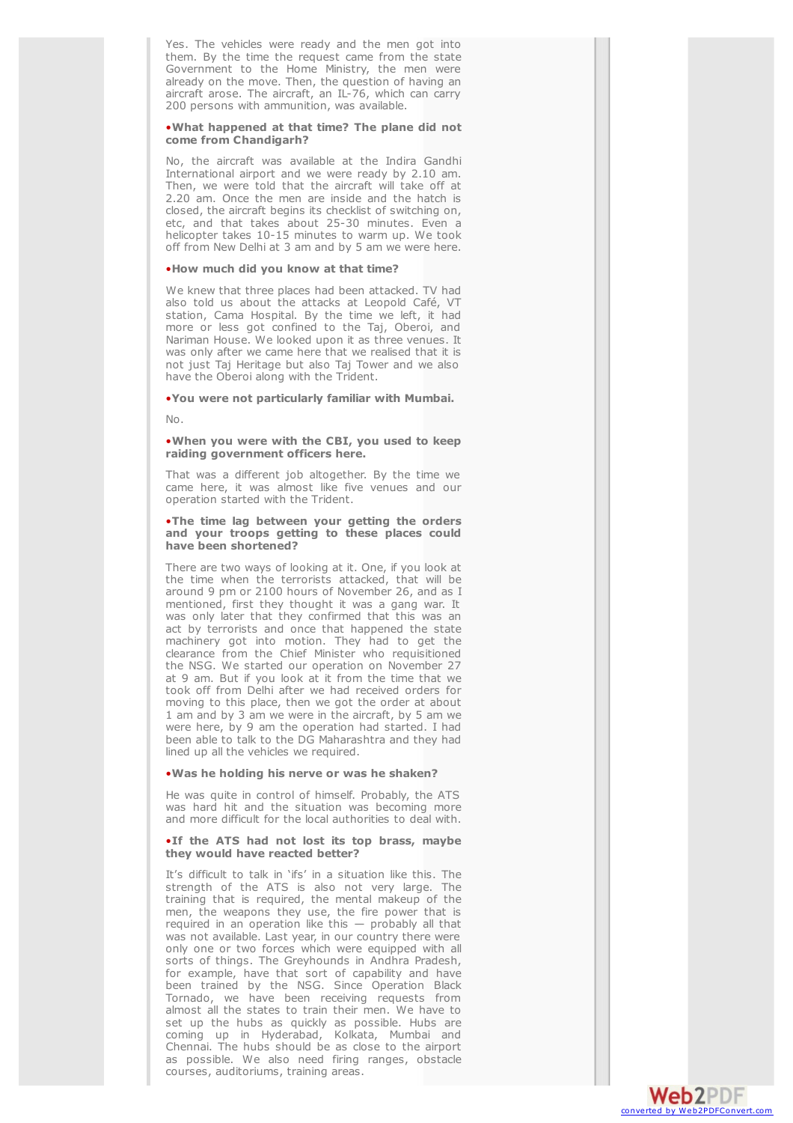Yes. The vehicles were ready and the men got into them. By the time the request came from the state Government to the Home Ministry, the men were already on the move. Then, the question of having an aircraft arose. The aircraft, an IL-76, which can carry 200 persons with ammunition, was available.

#### . What happened at that time? The plane did not come from Chandigarh?

No, the aircraft was available at the Indira Gandhi International airport and we were ready by 2.10 am. Then, we were told that the aircraft will take off at 2.20 am. Once the men are inside and the hatch is closed, the aircraft begins its checklist of switching on, etc, and that takes about 25-30 minutes. Even a helicopter takes 10-15 minutes to warm up. We took off from New Delhi at 3 am and by 5 am we were here.

#### . How much did you know at that time?

We knew that three places had been attacked. TV had also told us about the attacks at Leopold Café, VT station, Cama Hospital. By the time we left, it had more or less got confined to the Taj, Oberoi, and Nariman House. We looked upon it as three venues. It was only after we came here that we realised that it is not just Taj Heritage but also Taj Tower and we also have the Oberoi along with the Trident.

#### . You were not particularly familiar with Mumbai.

N o .

#### . When you were with the CBI, you used to keep raiding government officers here.

That was a different job altogether. By the time we came here, it was almost like five venues and our operation started with the Trident.

#### .The time lag between your getting the orders and your troops getting to these places could have been shortened?

There are two ways of looking at it. One, if you look at the time when the terrorists attacked, that will be around 9 pm or 2100 hours of November 26, and as I mentioned, first they thought it was a gang war. It was only later that they confirmed that this was an act by terrorists and once that happened the state machinery got into motion. They had to get the clearance from the Chief Minister who requisitioned the NSG. We started our operation on November 27 at 9 am. But if you look at it from the time that we took off from Delhi after we had received orders for moving to this place, then we got the order at about 1 am and by 3 am we were in the aircraft, by 5 am we were here, by 9 am the operation had started. I had been able to talk to the DG Maharashtra and they had lined up all the vehicles we required.

#### . Was he holding his nerve or was he shaken?

He was quite in control of himself. Probably, the ATS was hard hit and the situation was becoming more and more difficult for the local authorities to deal with.

#### . If the ATS had not lost its top brass, maybe they would have reacted better?

It's difficult to talk in 'ifs' in a situation like this. The strength of the ATS is also not very large. The training that is required, the mental makeup of the men, the weapons they use, the fire power that is required in an operation like this  $-$  probably all that was not available. Last year, in our country there were only one or two forces which were equipped with all sorts of things. The Greyhounds in Andhra Pradesh, for example, have that sort of capability and have been trained by the NSG. Since Operation Black Tornado, we have been receiving requests from almost all the states to train their men. We have to set up the hubs as quickly as possible. Hubs are coming up in Hyderabad, Kolkata, Mumbai and Chennai. The hubs should be as close to the airport as possible. We also need firing ranges, obstacle courses, auditoriums, training areas.

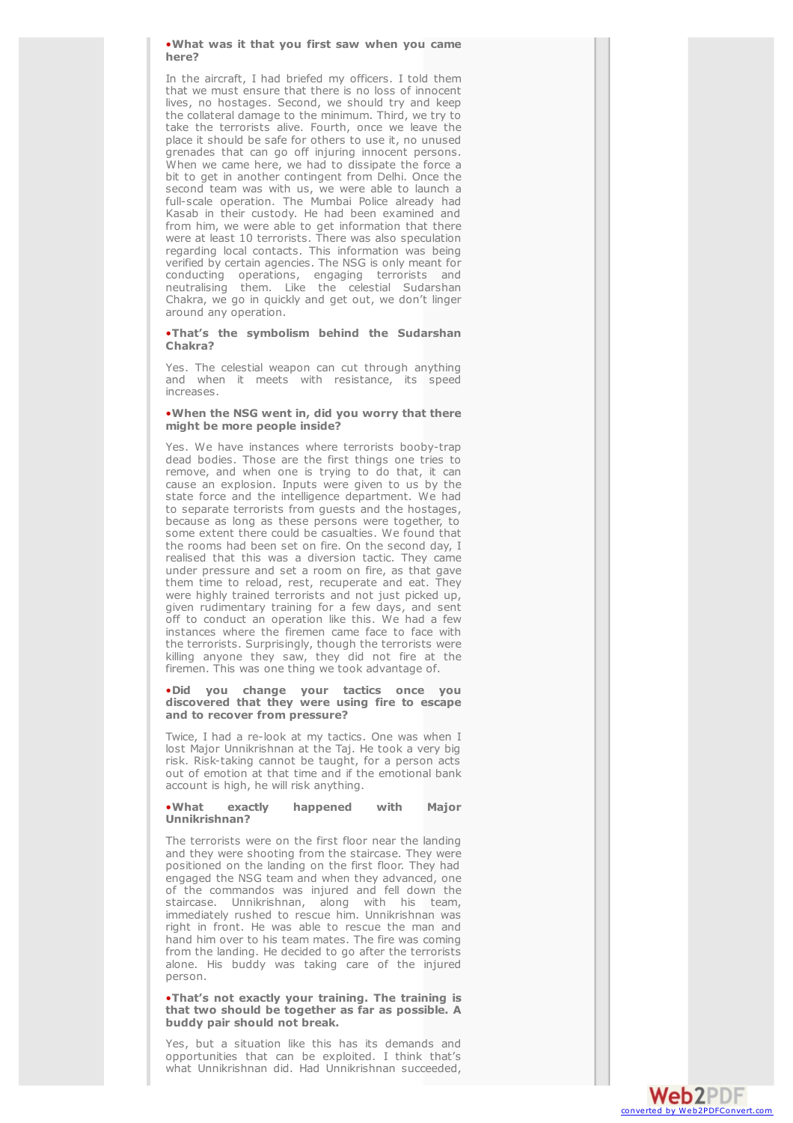. What was it that you first saw when you came here?

In the aircraft, I had briefed my officers. I told them that we must ensure that there is no loss of innocent lives, no hostages. Second, we should try and keep the collateral damage to the minimum. Third, we try to take the terrorists alive. Fourth, once we leave the place it should be safe for others to use it, no unused grenades that can go off injuring innocent persons. When we came here, we had to dissipate the force a bit to get in another contingent from Delhi. Once the second team was with us, we were able to launch a full-scale operation. The Mumbai Police already had Kasab in their custody. He had been examined and from him, we were able to get information that there were at least 10 terrorists. There was also speculation regarding local contacts. This information was being verified by certain agencies. The NSG is only meant for conducting operations, engaging terrorists and neutralising them. Like the celestial Sudarshan Chakra, we go in quickly and get out, we don't linger around any operation.

.That's the symbolism behind the Sudarshan Chakra?

Yes. The celestial weapon can cut through anything and when it meets with resistance, its speed increases.

#### . When the NSG went in, did you worry that there might be more people inside?

Yes. We have instances where terrorists booby-trap dead bodies. Those are the first things one tries to remove, and when one is trying to do that, it can cause an explosion. Inputs were given to us by the state force and the intelligence department. We had to separate terrorists from guests and the hostages, because as long as these persons were together, to some extent there could be casualties. We found that the rooms had been set on fire. On the second day, I realised that this was a diversion tactic. They came under pressure and set a room on fire, as that gave them time to reload, rest, recuperate and eat. They were highly trained terrorists and not just picked up, given rudimentary training for a few days, and sent off to conduct an operation like this. We had a few instances where the firemen came face to face with the terrorists. Surprisingly, though the terrorists were killing anyone they saw, they did not fire at the firemen. This was one thing we took advantage of.

·Did you change your tactics once you discovered that they were using fire to escape and to recover from pressure?

Twice, I had a re-look at my tactics. One was when I lost Major Unnikrishnan at the Taj. He took a very big risk. Risk-taking cannot be taught, for a person acts out of emotion at that time and if the emotional bank account is high, he will risk anything.

#### • **W h a t e x a c t l y** happened **w i t h M a j o r** Unnikrishnan?

The terrorists were on the first floor near the landing and they were shooting from the staircase. They were positioned on the landing on the first floor. They had engaged the NSG team and when they advanced, one of the commandos was injured and fell down the staircase. Unnikrishnan, along with his team, immediately rushed to rescue him. Unnikrishnan was right in front. He was able to rescue the man and hand him over to his team mates. The fire was coming from the landing. He decided to go after the terrorists alone. His buddy was taking care of the injured person.

#### .That's not exactly your training. The training is that two should be together as far as possible. A buddy pair should not break.

Yes, but a situation like this has its demands and opportunities that can be exploited. I think that's what Unnikrishnan did. Had Unnikrishnan succeeded,

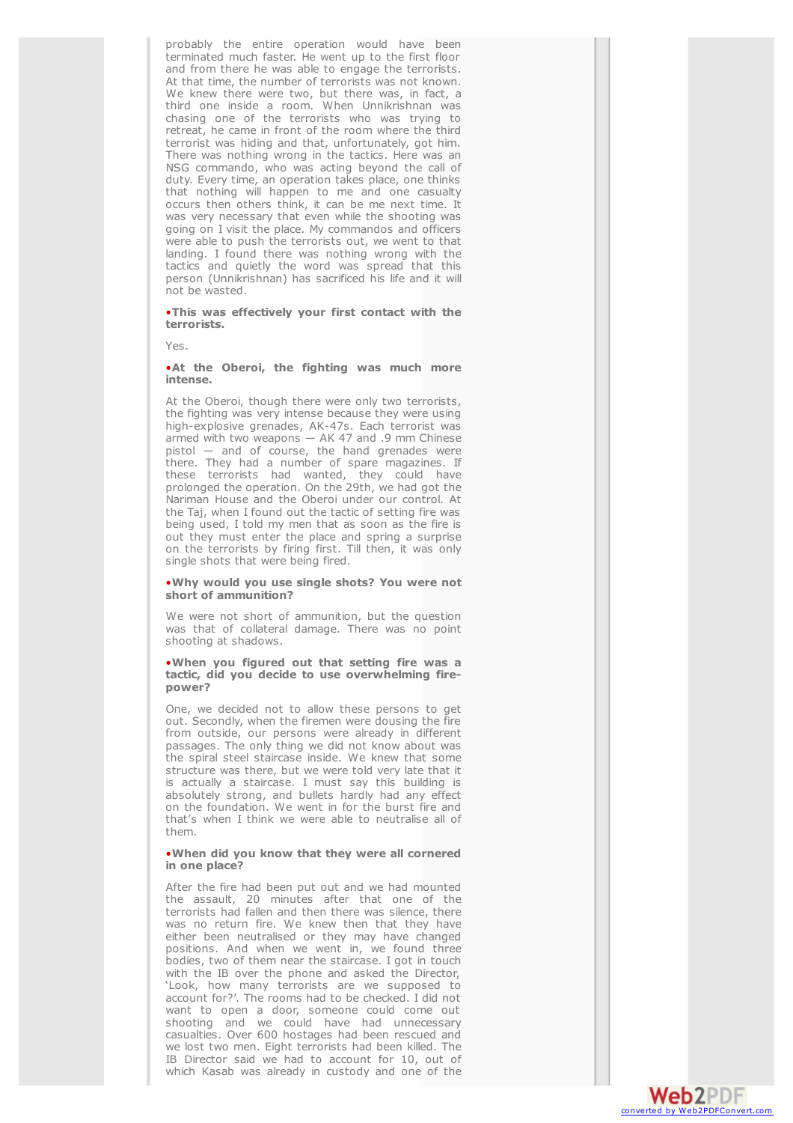probably the entire operation would have been terminated much faster. He went up to the first floor and from there he was able to engage the terrorists. At that time, the number of terrorists was not known. We knew there were two, but there was, in fact, a third one inside a room. When Unnikrishnan was chasing one of the terrorists who was trying to retreat, he came in front of the room where the third terrorist was hiding and that, unfortunately, got him. There was nothing wrong in the tactics. Here was an NSG commando, who was acting beyond the call of duty. Every time, an operation takes place, one thinks that nothing will happen to me and one casualty occurs then others think, it can be me next time. It was very necessary that even while the shooting was going on I visit the place. My commandos and officers were able to push the terrorists out, we went to that landing. I found there was nothing wrong with the tactics and quietly the word was spread that this person (Unnikrishnan) has sacrificed his life and it will not be wasted.

.This was effectively your first contact with the terrorists.

Yes.

#### . At the Oberoi, the fighting was much more intense.

At the Oberoi, though there were only two terrorists, the fighting was very intense because they were using high-explosive grenades, AK-47s. Each terrorist was armed with two weapons - AK 47 and .9 mm Chinese pistol - and of course, the hand grenades were there. They had a number of spare magazines. If these terrorists had wanted, they could have prolonged the operation. On the 29th, we had got the Nariman House and the Oberoi under our control. At the Taj, when I found out the tactic of setting fire was being used, I told my men that as soon as the fire is out they must enter the place and spring a surprise on the terrorists by firing first. Till then, it was only single shots that were being fired.

#### . Why would you use single shots? You were not short of ammunition?

We were not short of ammunition, but the question was that of collateral damage. There was no point shooting at shadows.

#### .When you figured out that setting fire was a tactic, did you decide to use overwhelming fire**p o w e r ?**

One, we decided not to allow these persons to get out. Secondly, when the firemen were dousing the fire from outside, our persons were already in different passages. The only thing we did not know about was the spiral steel staircase inside. We knew that some structure was there, but we were told very late that it is actually a staircase. I must say this building is absolutely strong, and bullets hardly had any effect on the foundation. We went in for the burst fire and that's when I think we were able to neutralise all of t h e m .

#### . When did you know that they were all cornered **i n o n e p l a c e ?**

After the fire had been put out and we had mounted the assault, 20 minutes after that one of the terrorists had fallen and then there was silence, there was no return fire. We knew then that they have either been neutralised or they may have changed positions. And when we went in, we found three bodies, two of them near the staircase. I got in touch with the IB over the phone and asked the Director, 'Look, how many terrorists are we supposed to account for?'. The rooms had to be checked. I did not want to open a door, someone could come out shooting and we could have had unnecessary casualties. Over 600 hostages had been rescued and we lost two men. Eight terrorists had been killed. The IB Director said we had to account for 10, out of which Kasab was already in custody and one of the